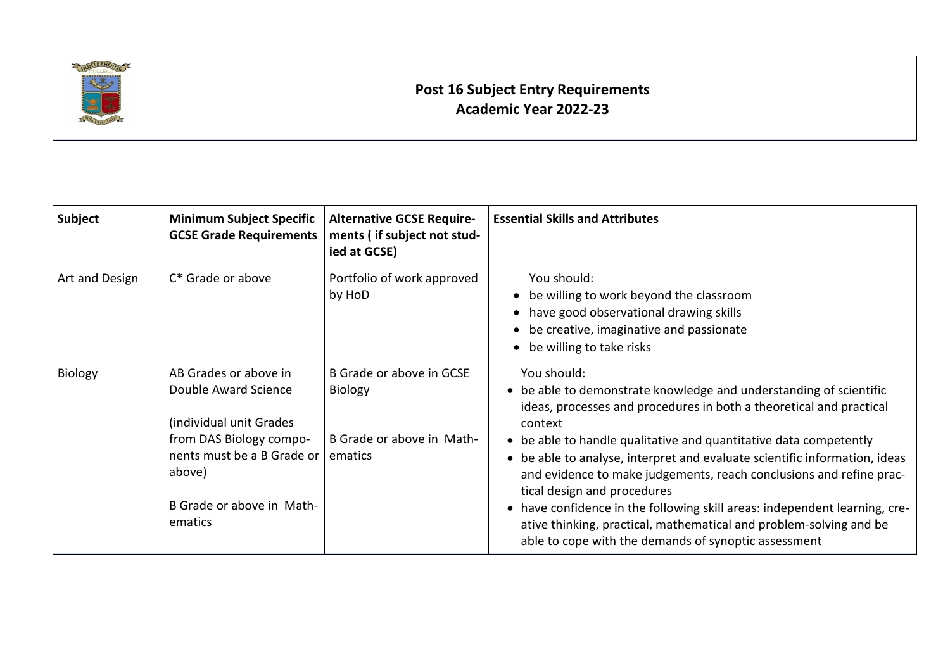

## **Post 16 Subject Entry Requirements Academic Year 2022-23**

| Subject        | <b>Minimum Subject Specific</b><br><b>GCSE Grade Requirements</b>                                                                                                                    | <b>Alternative GCSE Require-</b><br>ments (if subject not stud-<br>ied at GCSE) | <b>Essential Skills and Attributes</b>                                                                                                                                                                                                                                                                                                                                                                                                                                                                                                                                                                                                   |
|----------------|--------------------------------------------------------------------------------------------------------------------------------------------------------------------------------------|---------------------------------------------------------------------------------|------------------------------------------------------------------------------------------------------------------------------------------------------------------------------------------------------------------------------------------------------------------------------------------------------------------------------------------------------------------------------------------------------------------------------------------------------------------------------------------------------------------------------------------------------------------------------------------------------------------------------------------|
| Art and Design | C* Grade or above                                                                                                                                                                    | Portfolio of work approved<br>by HoD                                            | You should:<br>be willing to work beyond the classroom<br>have good observational drawing skills<br>be creative, imaginative and passionate<br>be willing to take risks                                                                                                                                                                                                                                                                                                                                                                                                                                                                  |
| <b>Biology</b> | AB Grades or above in<br>Double Award Science<br>(individual unit Grades)<br>from DAS Biology compo-<br>nents must be a B Grade or<br>above)<br>B Grade or above in Math-<br>ematics | B Grade or above in GCSE<br>Biology<br>B Grade or above in Math-<br>ematics     | You should:<br>• be able to demonstrate knowledge and understanding of scientific<br>ideas, processes and procedures in both a theoretical and practical<br>context<br>• be able to handle qualitative and quantitative data competently<br>• be able to analyse, interpret and evaluate scientific information, ideas<br>and evidence to make judgements, reach conclusions and refine prac-<br>tical design and procedures<br>• have confidence in the following skill areas: independent learning, cre-<br>ative thinking, practical, mathematical and problem-solving and be<br>able to cope with the demands of synoptic assessment |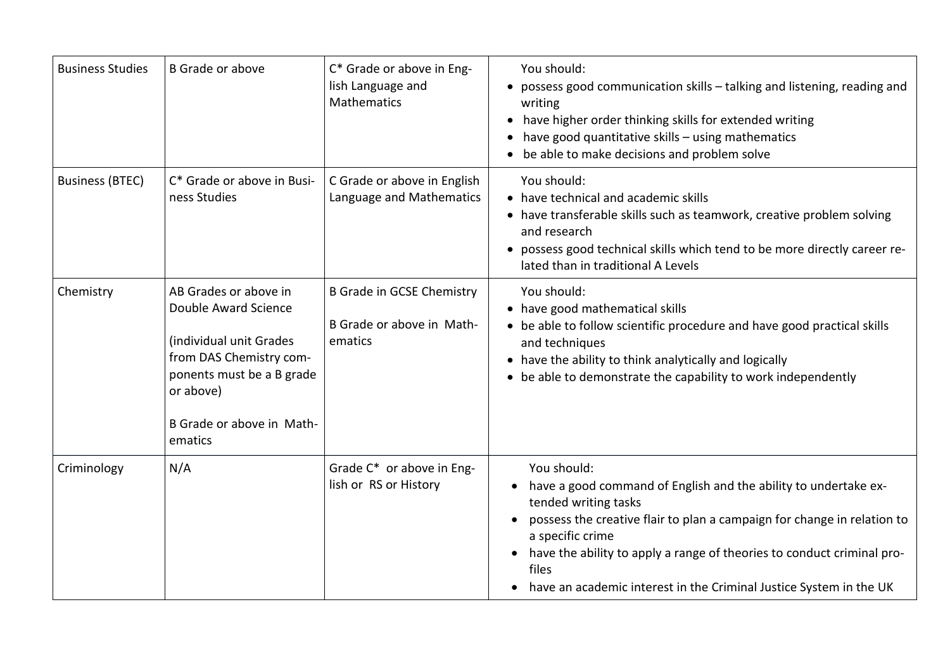| <b>Business Studies</b> | <b>B</b> Grade or above                                                                                                                                                               | C* Grade or above in Eng-<br>lish Language and<br>Mathematics            | You should:<br>• possess good communication skills - talking and listening, reading and<br>writing<br>have higher order thinking skills for extended writing<br>have good quantitative skills - using mathematics<br>٠<br>be able to make decisions and problem solve                                                                                          |
|-------------------------|---------------------------------------------------------------------------------------------------------------------------------------------------------------------------------------|--------------------------------------------------------------------------|----------------------------------------------------------------------------------------------------------------------------------------------------------------------------------------------------------------------------------------------------------------------------------------------------------------------------------------------------------------|
| <b>Business (BTEC)</b>  | C* Grade or above in Busi-<br>ness Studies                                                                                                                                            | C Grade or above in English<br>Language and Mathematics                  | You should:<br>• have technical and academic skills<br>• have transferable skills such as teamwork, creative problem solving<br>and research<br>• possess good technical skills which tend to be more directly career re-<br>lated than in traditional A Levels                                                                                                |
| Chemistry               | AB Grades or above in<br>Double Award Science<br>(individual unit Grades<br>from DAS Chemistry com-<br>ponents must be a B grade<br>or above)<br>B Grade or above in Math-<br>ematics | <b>B Grade in GCSE Chemistry</b><br>B Grade or above in Math-<br>ematics | You should:<br>• have good mathematical skills<br>• be able to follow scientific procedure and have good practical skills<br>and techniques<br>• have the ability to think analytically and logically<br>• be able to demonstrate the capability to work independently                                                                                         |
| Criminology             | N/A                                                                                                                                                                                   | Grade C* or above in Eng-<br>lish or RS or History                       | You should:<br>have a good command of English and the ability to undertake ex-<br>tended writing tasks<br>possess the creative flair to plan a campaign for change in relation to<br>a specific crime<br>have the ability to apply a range of theories to conduct criminal pro-<br>files<br>have an academic interest in the Criminal Justice System in the UK |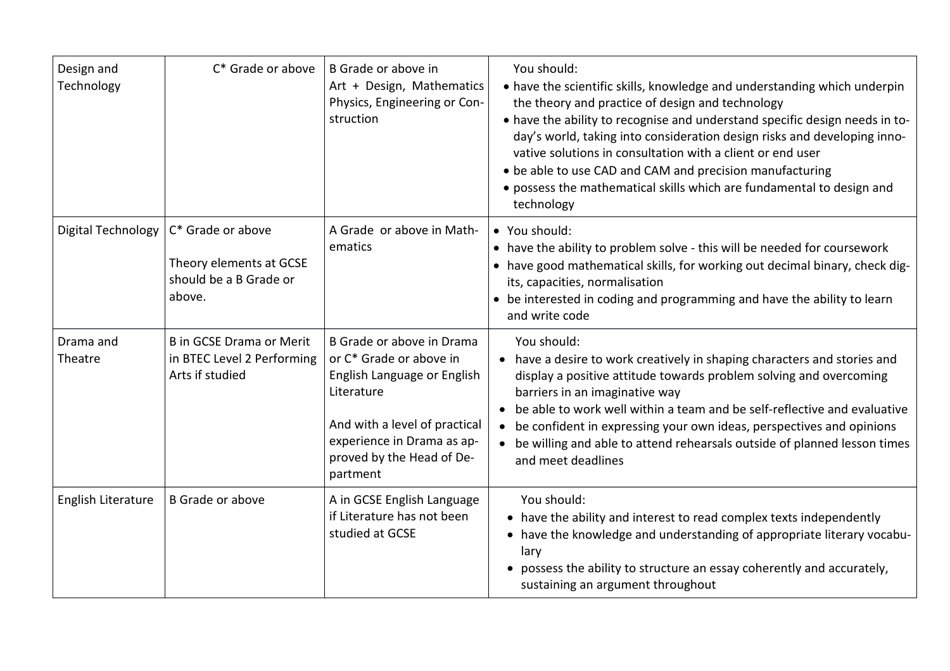| Design and<br>Technology | C* Grade or above                                                                | B Grade or above in<br>Art + Design, Mathematics<br>Physics, Engineering or Con-<br>struction                                                                                                             | You should:<br>• have the scientific skills, knowledge and understanding which underpin<br>the theory and practice of design and technology<br>• have the ability to recognise and understand specific design needs in to-<br>day's world, taking into consideration design risks and developing inno-<br>vative solutions in consultation with a client or end user<br>• be able to use CAD and CAM and precision manufacturing<br>• possess the mathematical skills which are fundamental to design and<br>technology |
|--------------------------|----------------------------------------------------------------------------------|-----------------------------------------------------------------------------------------------------------------------------------------------------------------------------------------------------------|-------------------------------------------------------------------------------------------------------------------------------------------------------------------------------------------------------------------------------------------------------------------------------------------------------------------------------------------------------------------------------------------------------------------------------------------------------------------------------------------------------------------------|
| Digital Technology       | C* Grade or above<br>Theory elements at GCSE<br>should be a B Grade or<br>above. | A Grade or above in Math-<br>ematics                                                                                                                                                                      | • You should:<br>• have the ability to problem solve - this will be needed for coursework<br>• have good mathematical skills, for working out decimal binary, check dig-<br>its, capacities, normalisation<br>• be interested in coding and programming and have the ability to learn<br>and write code                                                                                                                                                                                                                 |
| Drama and<br>Theatre     | <b>B</b> in GCSE Drama or Merit<br>in BTEC Level 2 Performing<br>Arts if studied | B Grade or above in Drama<br>or C* Grade or above in<br>English Language or English<br>Literature<br>And with a level of practical<br>experience in Drama as ap-<br>proved by the Head of De-<br>partment | You should:<br>• have a desire to work creatively in shaping characters and stories and<br>display a positive attitude towards problem solving and overcoming<br>barriers in an imaginative way<br>• be able to work well within a team and be self-reflective and evaluative<br>• be confident in expressing your own ideas, perspectives and opinions<br>• be willing and able to attend rehearsals outside of planned lesson times<br>and meet deadlines                                                             |
| English Literature       | <b>B</b> Grade or above                                                          | A in GCSE English Language<br>if Literature has not been<br>studied at GCSE                                                                                                                               | You should:<br>• have the ability and interest to read complex texts independently<br>• have the knowledge and understanding of appropriate literary vocabu-<br>lary<br>possess the ability to structure an essay coherently and accurately,<br>sustaining an argument throughout                                                                                                                                                                                                                                       |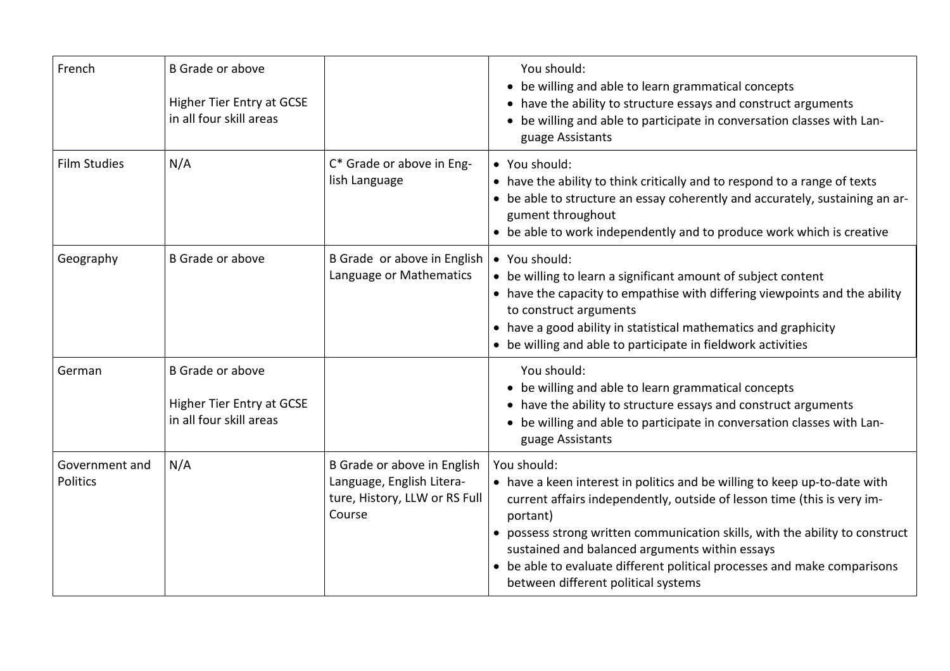| French                     | <b>B</b> Grade or above<br>Higher Tier Entry at GCSE<br>in all four skill areas        |                                                                                                     | You should:<br>be willing and able to learn grammatical concepts<br>$\bullet$<br>have the ability to structure essays and construct arguments<br>$\bullet$<br>be willing and able to participate in conversation classes with Lan-<br>guage Assistants                                                                                                                                                                                        |
|----------------------------|----------------------------------------------------------------------------------------|-----------------------------------------------------------------------------------------------------|-----------------------------------------------------------------------------------------------------------------------------------------------------------------------------------------------------------------------------------------------------------------------------------------------------------------------------------------------------------------------------------------------------------------------------------------------|
| <b>Film Studies</b>        | N/A                                                                                    | C* Grade or above in Eng-<br>lish Language                                                          | • You should:<br>• have the ability to think critically and to respond to a range of texts<br>• be able to structure an essay coherently and accurately, sustaining an ar-<br>gument throughout<br>• be able to work independently and to produce work which is creative                                                                                                                                                                      |
| Geography                  | <b>B</b> Grade or above                                                                | B Grade or above in English<br>Language or Mathematics                                              | • You should:<br>• be willing to learn a significant amount of subject content<br>• have the capacity to empathise with differing viewpoints and the ability<br>to construct arguments<br>• have a good ability in statistical mathematics and graphicity<br>• be willing and able to participate in fieldwork activities                                                                                                                     |
| German                     | <b>B</b> Grade or above<br><b>Higher Tier Entry at GCSE</b><br>in all four skill areas |                                                                                                     | You should:<br>• be willing and able to learn grammatical concepts<br>have the ability to structure essays and construct arguments<br>be willing and able to participate in conversation classes with Lan-<br>guage Assistants                                                                                                                                                                                                                |
| Government and<br>Politics | N/A                                                                                    | B Grade or above in English<br>Language, English Litera-<br>ture, History, LLW or RS Full<br>Course | You should:<br>• have a keen interest in politics and be willing to keep up-to-date with<br>current affairs independently, outside of lesson time (this is very im-<br>portant)<br>possess strong written communication skills, with the ability to construct<br>$\bullet$<br>sustained and balanced arguments within essays<br>be able to evaluate different political processes and make comparisons<br>between different political systems |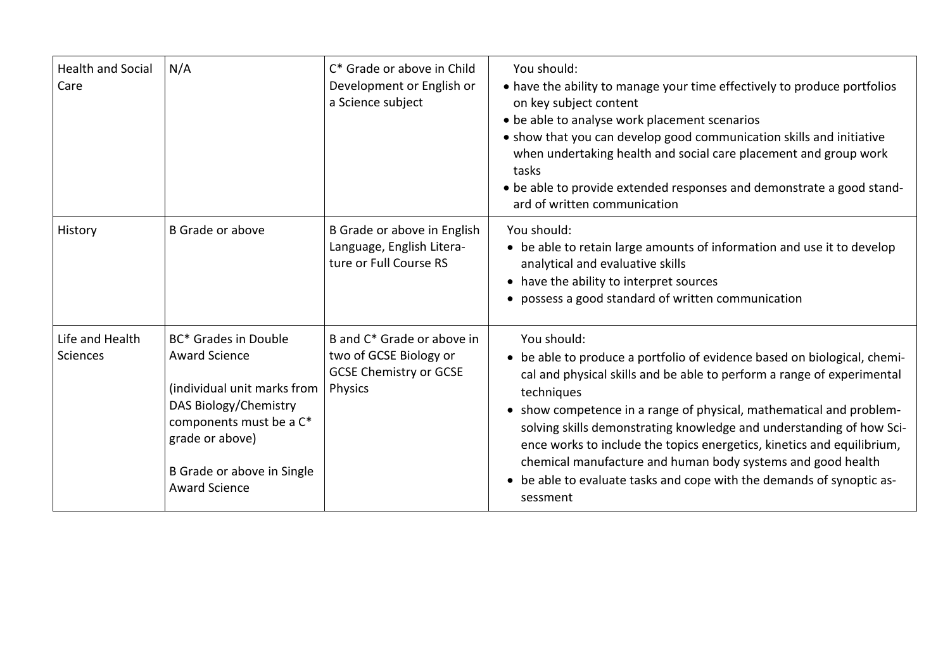| <b>Health and Social</b><br>Care | N/A                                                                                                                                                                                                      | C* Grade or above in Child<br>Development or English or<br>a Science subject                                        | You should:<br>• have the ability to manage your time effectively to produce portfolios<br>on key subject content<br>• be able to analyse work placement scenarios<br>• show that you can develop good communication skills and initiative<br>when undertaking health and social care placement and group work<br>tasks<br>• be able to provide extended responses and demonstrate a good stand-<br>ard of written communication                                                                                                                             |
|----------------------------------|----------------------------------------------------------------------------------------------------------------------------------------------------------------------------------------------------------|---------------------------------------------------------------------------------------------------------------------|--------------------------------------------------------------------------------------------------------------------------------------------------------------------------------------------------------------------------------------------------------------------------------------------------------------------------------------------------------------------------------------------------------------------------------------------------------------------------------------------------------------------------------------------------------------|
| History                          | <b>B</b> Grade or above                                                                                                                                                                                  | B Grade or above in English<br>Language, English Litera-<br>ture or Full Course RS                                  | You should:<br>• be able to retain large amounts of information and use it to develop<br>analytical and evaluative skills<br>• have the ability to interpret sources<br>• possess a good standard of written communication                                                                                                                                                                                                                                                                                                                                   |
| Life and Health<br>Sciences      | BC* Grades in Double<br><b>Award Science</b><br>(individual unit marks from<br>DAS Biology/Chemistry<br>components must be a C*<br>grade or above)<br>B Grade or above in Single<br><b>Award Science</b> | B and C <sup>*</sup> Grade or above in<br>two of GCSE Biology or<br><b>GCSE Chemistry or GCSE</b><br><b>Physics</b> | You should:<br>• be able to produce a portfolio of evidence based on biological, chemi-<br>cal and physical skills and be able to perform a range of experimental<br>techniques<br>• show competence in a range of physical, mathematical and problem-<br>solving skills demonstrating knowledge and understanding of how Sci-<br>ence works to include the topics energetics, kinetics and equilibrium,<br>chemical manufacture and human body systems and good health<br>• be able to evaluate tasks and cope with the demands of synoptic as-<br>sessment |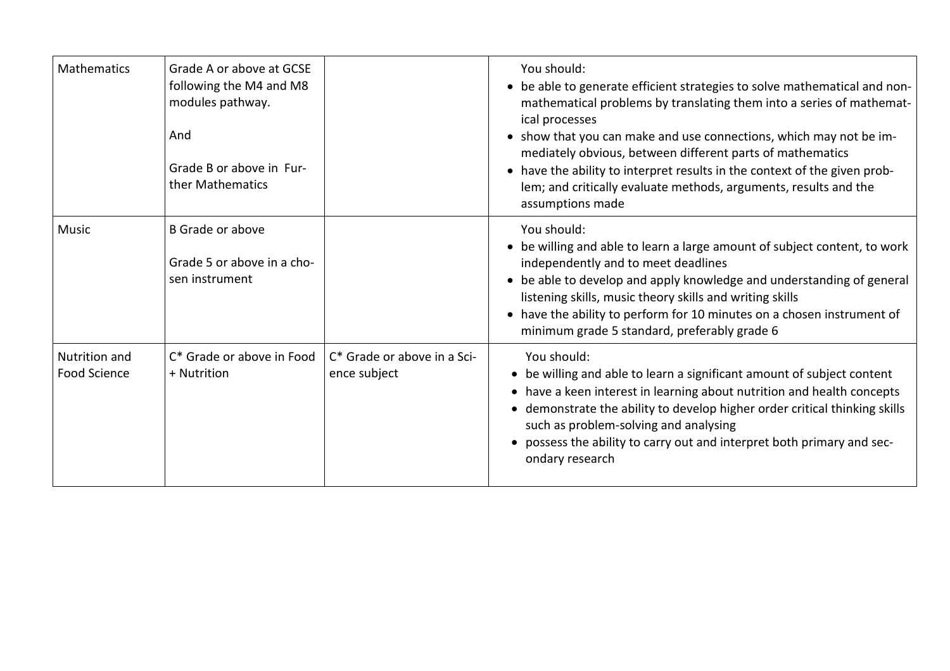| <b>Mathematics</b>                          | Grade A or above at GCSE<br>following the M4 and M8<br>modules pathway.<br>And<br>Grade B or above in Fur-<br>ther Mathematics |                                             | You should:<br>• be able to generate efficient strategies to solve mathematical and non-<br>mathematical problems by translating them into a series of mathemat-<br>ical processes<br>• show that you can make and use connections, which may not be im-<br>mediately obvious, between different parts of mathematics<br>• have the ability to interpret results in the context of the given prob-<br>lem; and critically evaluate methods, arguments, results and the<br>assumptions made |
|---------------------------------------------|--------------------------------------------------------------------------------------------------------------------------------|---------------------------------------------|--------------------------------------------------------------------------------------------------------------------------------------------------------------------------------------------------------------------------------------------------------------------------------------------------------------------------------------------------------------------------------------------------------------------------------------------------------------------------------------------|
| <b>Music</b>                                | <b>B</b> Grade or above<br>Grade 5 or above in a cho-<br>sen instrument                                                        |                                             | You should:<br>• be willing and able to learn a large amount of subject content, to work<br>independently and to meet deadlines<br>• be able to develop and apply knowledge and understanding of general<br>listening skills, music theory skills and writing skills<br>• have the ability to perform for 10 minutes on a chosen instrument of<br>minimum grade 5 standard, preferably grade 6                                                                                             |
| <b>Nutrition and</b><br><b>Food Science</b> | C* Grade or above in Food<br>+ Nutrition                                                                                       | C* Grade or above in a Sci-<br>ence subject | You should:<br>• be willing and able to learn a significant amount of subject content<br>• have a keen interest in learning about nutrition and health concepts<br>• demonstrate the ability to develop higher order critical thinking skills<br>such as problem-solving and analysing<br>• possess the ability to carry out and interpret both primary and sec-<br>ondary research                                                                                                        |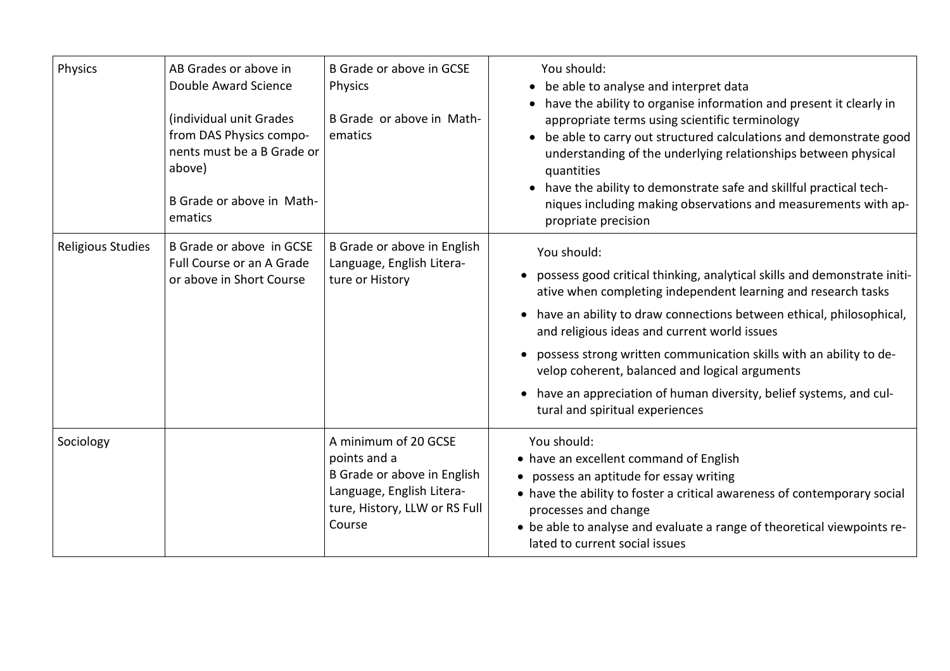| Physics                  | AB Grades or above in<br>Double Award Science<br>(individual unit Grades<br>from DAS Physics compo-<br>nents must be a B Grade or<br>above)<br>B Grade or above in Math-<br>ematics | B Grade or above in GCSE<br><b>Physics</b><br>B Grade or above in Math-<br>ematics                                                          | You should:<br>be able to analyse and interpret data<br>$\bullet$<br>have the ability to organise information and present it clearly in<br>appropriate terms using scientific terminology<br>be able to carry out structured calculations and demonstrate good<br>$\bullet$<br>understanding of the underlying relationships between physical<br>quantities<br>• have the ability to demonstrate safe and skillful practical tech-<br>niques including making observations and measurements with ap-<br>propriate precision    |
|--------------------------|-------------------------------------------------------------------------------------------------------------------------------------------------------------------------------------|---------------------------------------------------------------------------------------------------------------------------------------------|--------------------------------------------------------------------------------------------------------------------------------------------------------------------------------------------------------------------------------------------------------------------------------------------------------------------------------------------------------------------------------------------------------------------------------------------------------------------------------------------------------------------------------|
| <b>Religious Studies</b> | B Grade or above in GCSE<br>Full Course or an A Grade<br>or above in Short Course                                                                                                   | B Grade or above in English<br>Language, English Litera-<br>ture or History                                                                 | You should:<br>possess good critical thinking, analytical skills and demonstrate initi-<br>ative when completing independent learning and research tasks<br>• have an ability to draw connections between ethical, philosophical,<br>and religious ideas and current world issues<br>possess strong written communication skills with an ability to de-<br>velop coherent, balanced and logical arguments<br>have an appreciation of human diversity, belief systems, and cul-<br>$\bullet$<br>tural and spiritual experiences |
| Sociology                |                                                                                                                                                                                     | A minimum of 20 GCSE<br>points and a<br>B Grade or above in English<br>Language, English Litera-<br>ture, History, LLW or RS Full<br>Course | You should:<br>• have an excellent command of English<br>• possess an aptitude for essay writing<br>• have the ability to foster a critical awareness of contemporary social<br>processes and change<br>• be able to analyse and evaluate a range of theoretical viewpoints re-<br>lated to current social issues                                                                                                                                                                                                              |